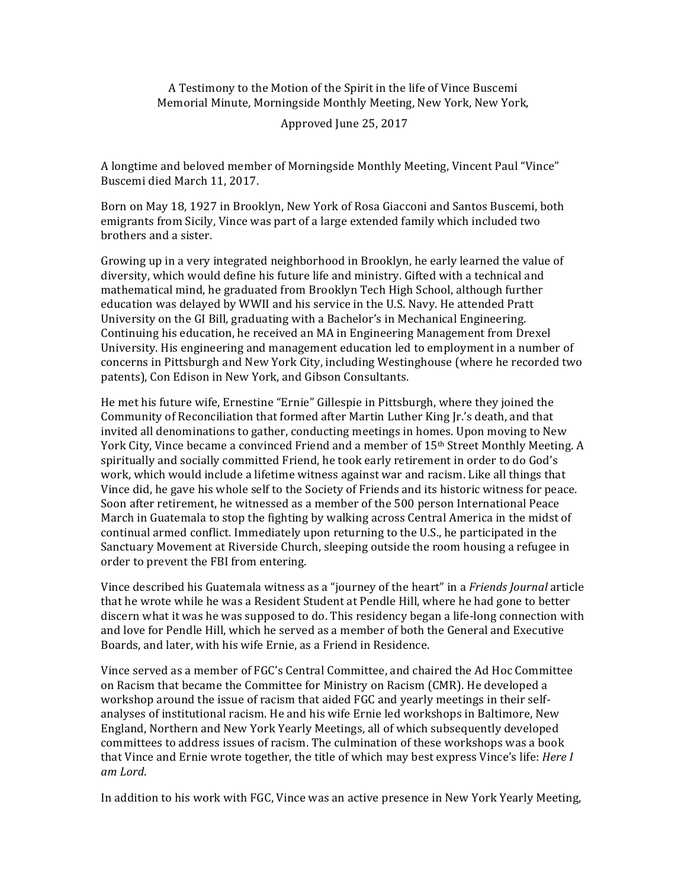A Testimony to the Motion of the Spirit in the life of Vince Buscemi Memorial Minute, Morningside Monthly Meeting, New York, New York,

## Approved June 25, 2017

A longtime and beloved member of Morningside Monthly Meeting, Vincent Paul "Vince" Buscemi died March 11, 2017.

Born on May 18, 1927 in Brooklyn, New York of Rosa Giacconi and Santos Buscemi, both emigrants from Sicily, Vince was part of a large extended family which included two brothers and a sister.

Growing up in a very integrated neighborhood in Brooklyn, he early learned the value of diversity, which would define his future life and ministry. Gifted with a technical and mathematical mind, he graduated from Brooklyn Tech High School, although further education was delayed by WWII and his service in the U.S. Navy. He attended Pratt University on the GI Bill, graduating with a Bachelor's in Mechanical Engineering. Continuing his education, he received an MA in Engineering Management from Drexel University. His engineering and management education led to employment in a number of concerns in Pittsburgh and New York City, including Westinghouse (where he recorded two patents), Con Edison in New York, and Gibson Consultants.

He met his future wife, Ernestine "Ernie" Gillespie in Pittsburgh, where they joined the Community of Reconciliation that formed after Martin Luther King [r.'s death, and that invited all denominations to gather, conducting meetings in homes. Upon moving to New York City, Vince became a convinced Friend and a member of 15<sup>th</sup> Street Monthly Meeting. A spiritually and socially committed Friend, he took early retirement in order to do God's work, which would include a lifetime witness against war and racism. Like all things that Vince did, he gave his whole self to the Society of Friends and its historic witness for peace. Soon after retirement, he witnessed as a member of the 500 person International Peace March in Guatemala to stop the fighting by walking across Central America in the midst of continual armed conflict. Immediately upon returning to the U.S., he participated in the Sanctuary Movement at Riverside Church, sleeping outside the room housing a refugee in order to prevent the FBI from entering.

Vince described his Guatemala witness as a "journey of the heart" in a *Friends Journal* article that he wrote while he was a Resident Student at Pendle Hill, where he had gone to better discern what it was he was supposed to do. This residency began a life-long connection with and love for Pendle Hill, which he served as a member of both the General and Executive Boards, and later, with his wife Ernie, as a Friend in Residence.

Vince served as a member of FGC's Central Committee, and chaired the Ad Hoc Committee on Racism that became the Committee for Ministry on Racism (CMR). He developed a workshop around the issue of racism that aided FGC and yearly meetings in their selfanalyses of institutional racism. He and his wife Ernie led workshops in Baltimore, New England, Northern and New York Yearly Meetings, all of which subsequently developed committees to address issues of racism. The culmination of these workshops was a book that Vince and Ernie wrote together, the title of which may best express Vince's life: *Here I am Lord*.

In addition to his work with FGC, Vince was an active presence in New York Yearly Meeting,